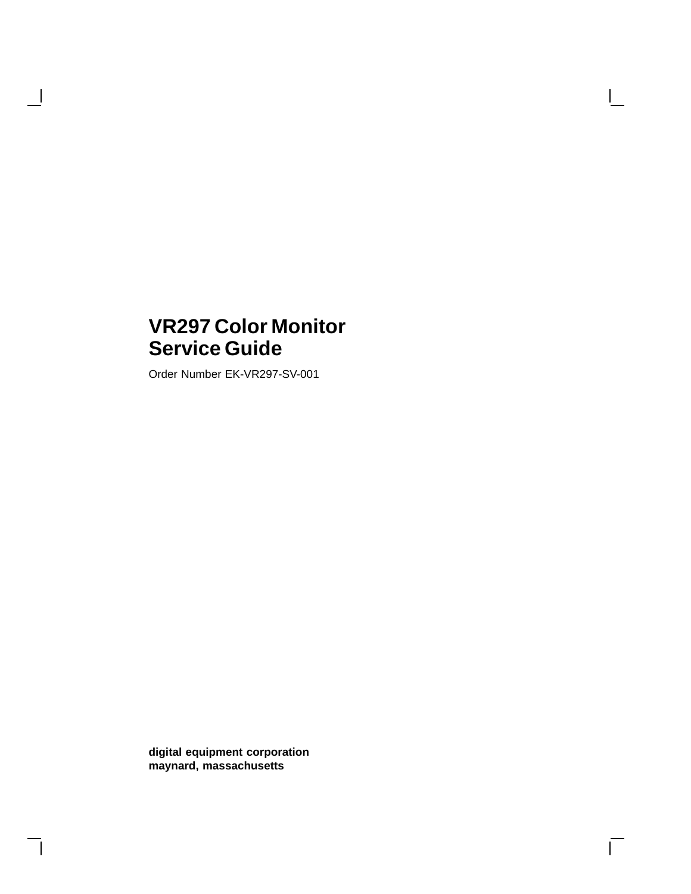# **VR297 Color Monitor Service Guide**

Order Number EK-VR297-SV-001

 $\overline{\phantom{a}}$ 

**digital equipment corporation maynard, massachusetts**

 $\overline{\Gamma}$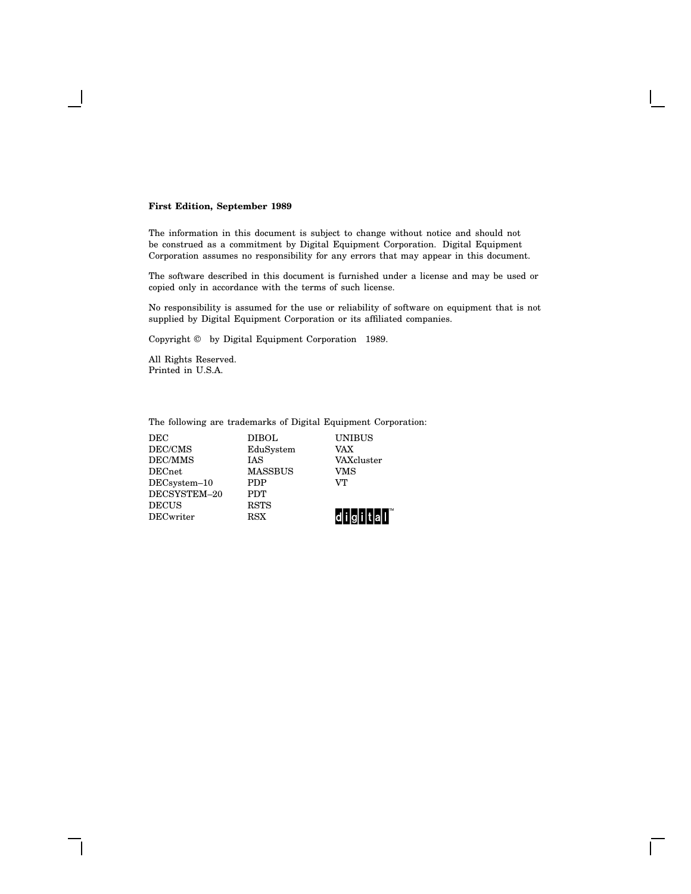#### **First Edition, September 1989**

The information in this document is subject to change without notice and should not be construed as a commitment by Digital Equipment Corporation. Digital Equipment Corporation assumes no responsibility for any errors that may appear in this document.

The software described in this document is furnished under a license and may be used or copied only in accordance with the terms of such license.

No responsibility is assumed for the use or reliability of software on equipment that is not supplied by Digital Equipment Corporation or its affiliated companies.

Copyright © by Digital Equipment Corporation 1989.

All Rights Reserved. Printed in U.S.A.

The following are trademarks of Digital Equipment Corporation:

DEC DIBOL UNIBUS DEC/CMS EduSystem VAX EduSystem  $\begin{tabular}{llllll} \bf DEC/MMS & & IAS & & VAXcluster \\ \bf DECnet & & MASSBUS & & VMS \end{tabular}$ MASSBUS VM<br>PDP VT DECsystem-10 DECSYSTEM–20 PDT DECUS RSTS<br>DECwriter RSX

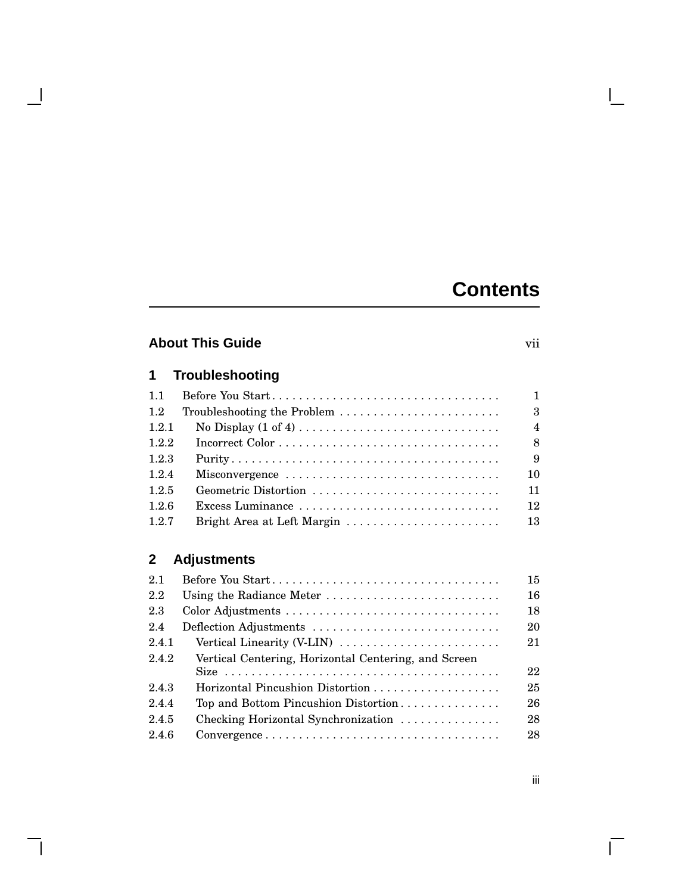# **Contents**

## **About This Guide** vii

 $\blacksquare$ 

 $\mathbf{I}$ 

## **1 Troubleshooting**

| 1.1   |                            | $\mathbf{1}$           |
|-------|----------------------------|------------------------|
| 1.2   |                            | $\boldsymbol{\beta}$   |
| 1.2.1 |                            | $\boldsymbol{\Lambda}$ |
| 1.2.2 |                            | 8                      |
| 1.2.3 |                            | 9                      |
| 1.2.4 | Misconvergence             | 10                     |
| 1.2.5 | Geometric Distortion       | 11                     |
| 1.2.6 | Excess Luminance           | 12                     |
| 1.2.7 | Bright Area at Left Margin | 13                     |

## **2 Adjustments**

| 2.1   | Before You Start                                                                                  | 15 |
|-------|---------------------------------------------------------------------------------------------------|----|
| 2.2   | Using the Radiance Meter                                                                          | 16 |
| 2.3   |                                                                                                   | 18 |
| 2.4   | Deflection Adjustments                                                                            | 20 |
| 2.4.1 | Vertical Linearity (V-LIN) $\dots \dots \dots \dots \dots \dots \dots$                            | 21 |
| 2.4.2 | Vertical Centering, Horizontal Centering, and Screen                                              |    |
|       |                                                                                                   | 22 |
| 2.4.3 |                                                                                                   | 25 |
| 2.4.4 | Top and Bottom Pincushion Distortion                                                              | 26 |
| 2.4.5 | Checking Horizontal Synchronization                                                               | 28 |
| 2.4.6 | $Convergence \dots \dots \dots \dots \dots \dots \dots \dots \dots \dots \dots \dots \dots \dots$ | 28 |
|       |                                                                                                   |    |

 $\Box$ 

 $\overline{\Gamma}$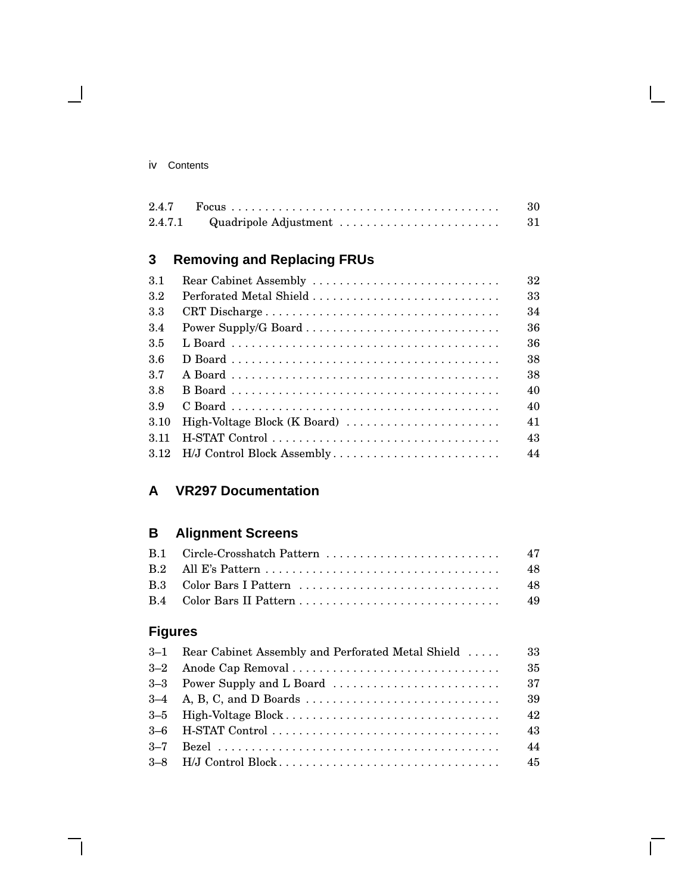$\blacksquare$ 

|  | -30 |
|--|-----|
|  | -31 |

## **3 Removing and Replacing FRUs**

| 3.1   | Rear Cabinet Assembly           | 32 |
|-------|---------------------------------|----|
| 3.2   |                                 | 33 |
| 3.3   | CRT Discharge                   | 34 |
| 3.4   |                                 | 36 |
| 3.5   |                                 | 36 |
| 3.6   |                                 | 38 |
| 3.7   |                                 | 38 |
| 3.8   |                                 | 40 |
| 3.9   |                                 | 40 |
| 3.10  | High-Voltage Block (K Board)    | 41 |
| 3 1 1 |                                 | 43 |
|       | 3.12 H/J Control Block Assembly | 44 |

## **A VR297 Documentation**

## **B Alignment Screens**

## **Figures**

|         | 3–1 Rear Cabinet Assembly and Perforated Metal Shield | 33 |
|---------|-------------------------------------------------------|----|
|         |                                                       | 35 |
|         |                                                       | 37 |
|         |                                                       | 39 |
|         |                                                       | 42 |
|         |                                                       | 43 |
| $3 - 7$ |                                                       | 44 |
|         |                                                       | 45 |

 $\bar{\Gamma}$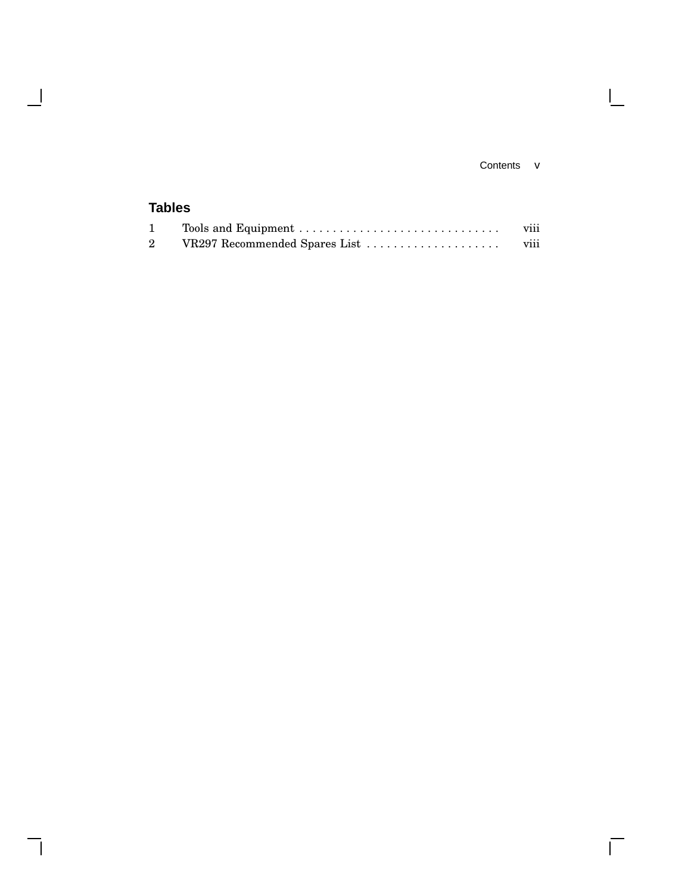### Contents v

 $\mathbf{L}$ 

 $\overline{\Gamma}$ 

## **Tables**

 $\overline{\phantom{a}}$ 

 $\overline{\phantom{a}}$ 

|                               | $\cdots$<br><b>V111</b> |
|-------------------------------|-------------------------|
| VR297 Recommended Spares List | $\cdots$<br><b>V111</b> |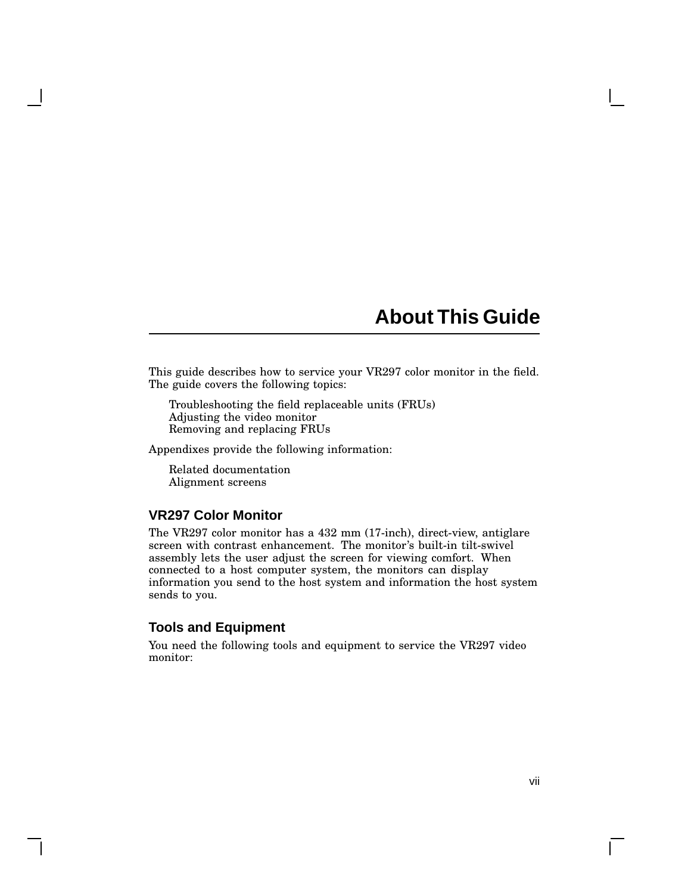# **About This Guide**

This guide describes how to service your VR297 color monitor in the field. The guide covers the following topics:

Troubleshooting the field replaceable units (FRUs) Adjusting the video monitor Removing and replacing FRUs

Appendixes provide the following information:

Related documentation Alignment screens

### **VR297 Color Monitor**

The VR297 color monitor has a 432 mm (17-inch), direct-view, antiglare screen with contrast enhancement. The monitor's built-in tilt-swivel assembly lets the user adjust the screen for viewing comfort. When connected to a host computer system, the monitors can display information you send to the host system and information the host system sends to you.

### **Tools and Equipment**

You need the following tools and equipment to service the VR297 video monitor: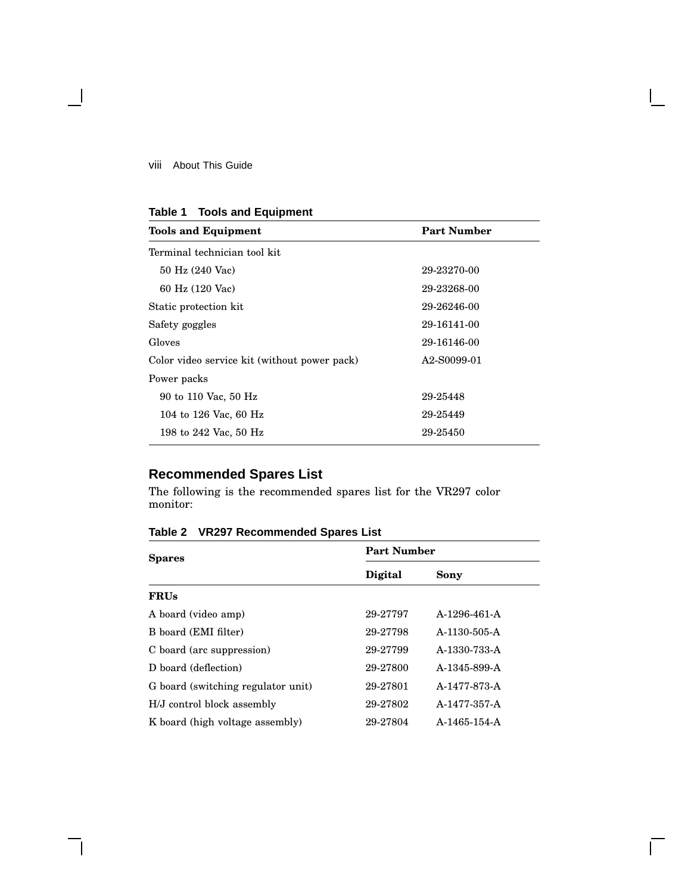$\overline{\phantom{a}}$ 

| Table 1 | <b>Tools and Equipment</b> |  |  |
|---------|----------------------------|--|--|
|---------|----------------------------|--|--|

| <b>Tools and Equipment</b>                   | <b>Part Number</b> |
|----------------------------------------------|--------------------|
| Terminal technician tool kit                 |                    |
| 50 Hz (240 Vac)                              | 29-23270-00        |
| 60 Hz (120 Vac)                              | 29-23268-00        |
| Static protection kit                        | 29-26246-00        |
| Safety goggles                               | 29-16141-00        |
| Gloves                                       | 29-16146-00        |
| Color video service kit (without power pack) | A2-S0099-01        |
| Power packs                                  |                    |
| 90 to 110 Vac, 50 Hz                         | 29-25448           |
| 104 to 126 Vac, 60 Hz                        | 29-25449           |
| 198 to 242 Vac, 50 Hz                        | 29-25450           |

## **Recommended Spares List**

The following is the recommended spares list for the VR297 color monitor:

**Table 2 VR297 Recommended Spares List**

| <b>Spares</b>                      | <b>Part Number</b> |                |  |
|------------------------------------|--------------------|----------------|--|
|                                    | <b>Digital</b>     | Sony           |  |
| <b>FRUs</b>                        |                    |                |  |
| A board (video amp)                | 29-27797           | A-1296-461-A   |  |
| B board (EMI filter)               | 29-27798           | $A-1130-505-A$ |  |
| C board (arc suppression)          | 29-27799           | A-1330-733-A   |  |
| D board (deflection)               | 29-27800           | A-1345-899-A   |  |
| G board (switching regulator unit) | 29-27801           | A-1477-873-A   |  |
| H/J control block assembly         | 29-27802           | A-1477-357-A   |  |
| K board (high voltage assembly)    | 29-27804           | A-1465-154-A   |  |

Г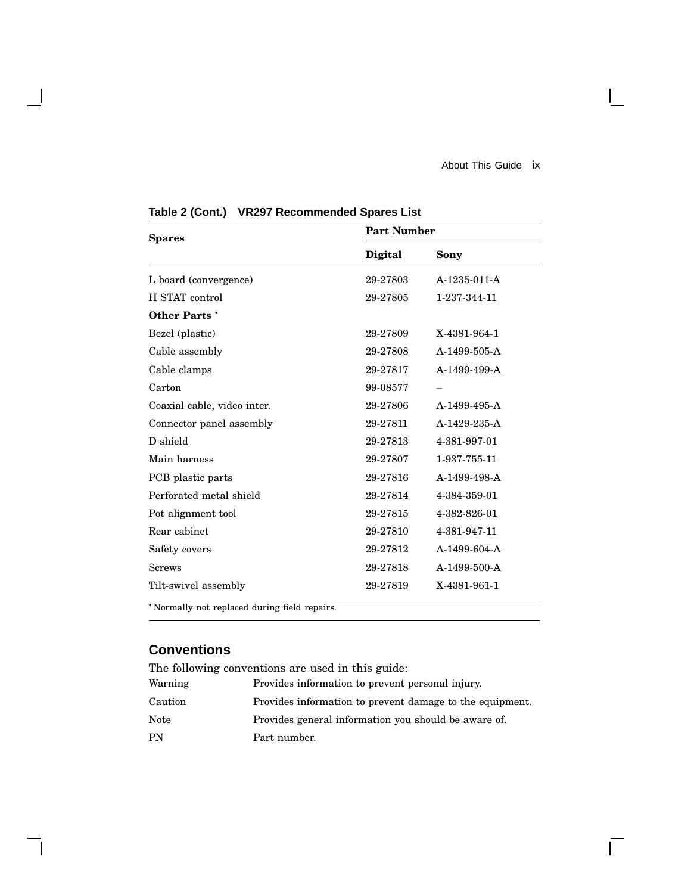$\mathbf{I}$ 

 $\overline{\Gamma}$ 

| <b>Spares</b>                                | <b>Part Number</b> |              |  |
|----------------------------------------------|--------------------|--------------|--|
|                                              | Digital            | Sony         |  |
| L board (convergence)                        | 29-27803           | A-1235-011-A |  |
| H STAT control                               | 29-27805           | 1-237-344-11 |  |
| <b>Other Parts</b> *                         |                    |              |  |
| Bezel (plastic)                              | 29-27809           | X-4381-964-1 |  |
| Cable assembly                               | 29-27808           | A-1499-505-A |  |
| Cable clamps                                 | 29-27817           | A-1499-499-A |  |
| Carton                                       | 99-08577           |              |  |
| Coaxial cable, video inter.                  | 29-27806           | A-1499-495-A |  |
| Connector panel assembly                     | 29-27811           | A-1429-235-A |  |
| D shield                                     | 29-27813           | 4-381-997-01 |  |
| Main harness                                 | 29-27807           | 1-937-755-11 |  |
| PCB plastic parts                            | 29-27816           | A-1499-498-A |  |
| Perforated metal shield                      | 29-27814           | 4-384-359-01 |  |
| Pot alignment tool                           | 29-27815           | 4-382-826-01 |  |
| Rear cabinet                                 | 29-27810           | 4-381-947-11 |  |
| Safety covers                                | 29-27812           | A-1499-604-A |  |
| <b>Screws</b>                                | 29-27818           | A-1499-500-A |  |
| Tilt-swivel assembly                         | 29-27819           | X-4381-961-1 |  |
| *Normally not replaced during field repairs. |                    |              |  |

**Table 2 (Cont.) VR297 Recommended Spares List**

## **Conventions**

 $\overline{\phantom{a}}$ 

| The following conventions are used in this guide: |                                                          |  |
|---------------------------------------------------|----------------------------------------------------------|--|
| Warning                                           | Provides information to prevent personal injury.         |  |
| Caution                                           | Provides information to prevent damage to the equipment. |  |
| Note                                              | Provides general information you should be aware of.     |  |
| <b>PN</b>                                         | Part number.                                             |  |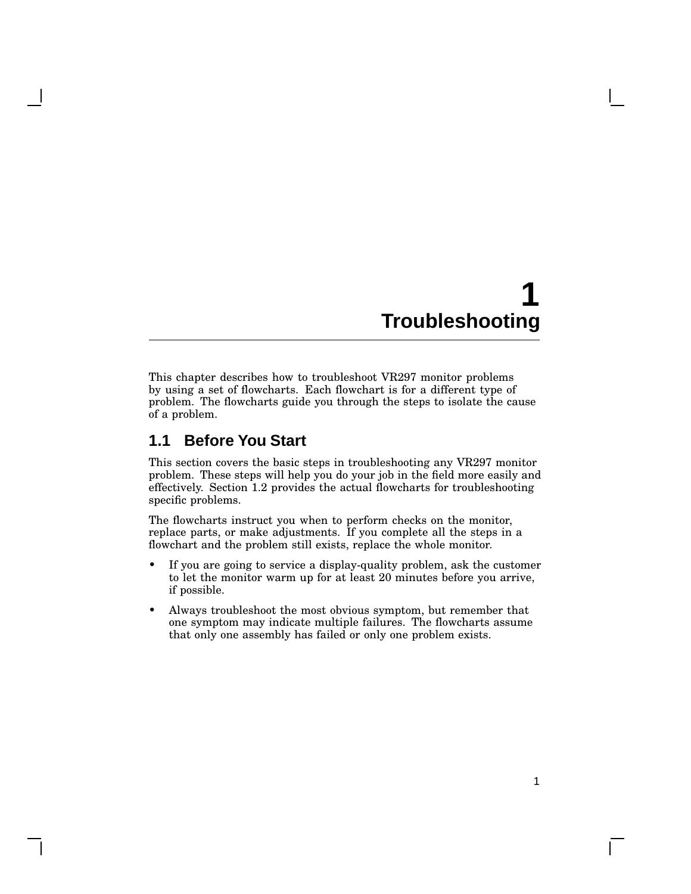This chapter describes how to troubleshoot VR297 monitor problems by using a set of flowcharts. Each flowchart is for a different type of problem. The flowcharts guide you through the steps to isolate the cause of a problem.

## **1.1 Before You Start**

This section covers the basic steps in troubleshooting any VR297 monitor problem. These steps will help you do your job in the field more easily and effectively. Section 1.2 provides the actual flowcharts for troubleshooting specific problems.

The flowcharts instruct you when to perform checks on the monitor, replace parts, or make adjustments. If you complete all the steps in a flowchart and the problem still exists, replace the whole monitor.

- If you are going to service a display-quality problem, ask the customer to let the monitor warm up for at least 20 minutes before you arrive, if possible.
- Always troubleshoot the most obvious symptom, but remember that one symptom may indicate multiple failures. The flowcharts assume that only one assembly has failed or only one problem exists.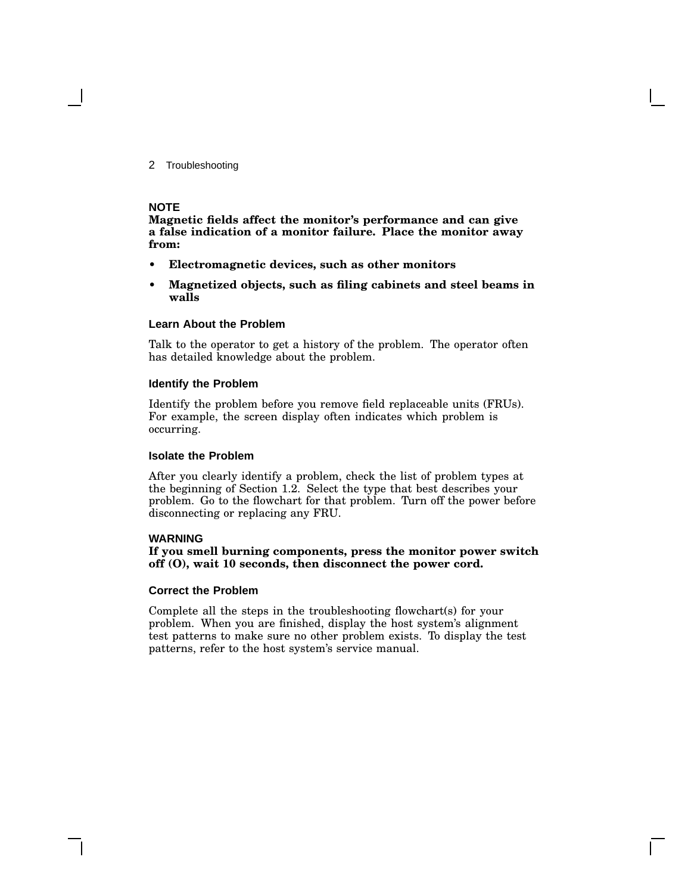#### **NOTE**

**Magnetic fields affect the monitor's performance and can give a false indication of a monitor failure. Place the monitor away from:**

- **• Electromagnetic devices, such as other monitors**
- **• Magnetized objects, such as filing cabinets and steel beams in walls**

#### **Learn About the Problem**

Talk to the operator to get a history of the problem. The operator often has detailed knowledge about the problem.

#### **Identify the Problem**

Identify the problem before you remove field replaceable units (FRUs). For example, the screen display often indicates which problem is occurring.

#### **Isolate the Problem**

After you clearly identify a problem, check the list of problem types at the beginning of Section 1.2. Select the type that best describes your problem. Go to the flowchart for that problem. Turn off the power before disconnecting or replacing any FRU.

#### **WARNING**

**If you smell burning components, press the monitor power switch off (O), wait 10 seconds, then disconnect the power cord.**

#### **Correct the Problem**

Complete all the steps in the troubleshooting flowchart(s) for your problem. When you are finished, display the host system's alignment test patterns to make sure no other problem exists. To display the test patterns, refer to the host system's service manual.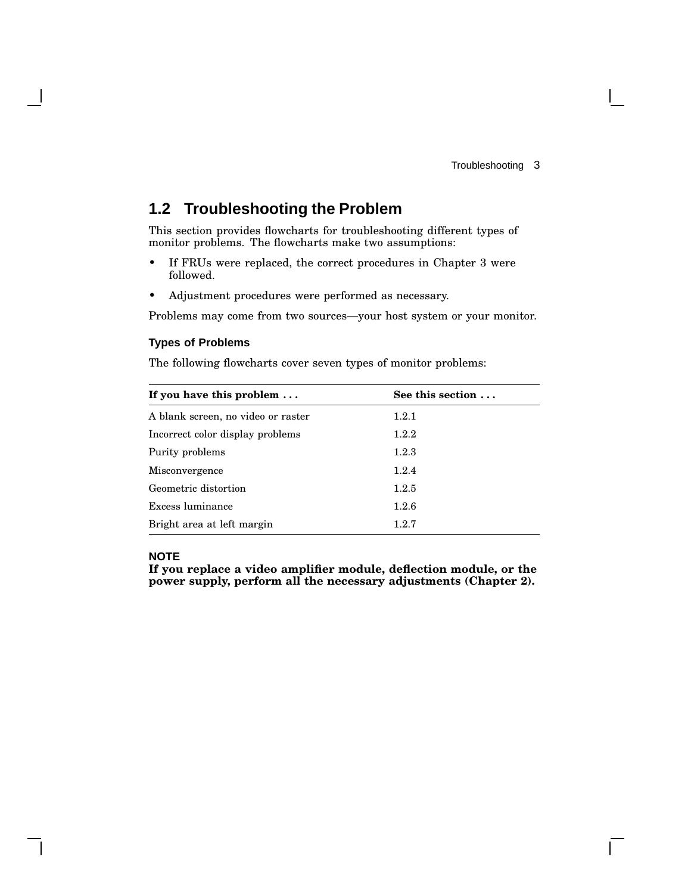$\mathbf{I}$ 

## **1.2 Troubleshooting the Problem**

This section provides flowcharts for troubleshooting different types of monitor problems. The flowcharts make two assumptions:

- If FRUs were replaced, the correct procedures in Chapter 3 were followed.
- Adjustment procedures were performed as necessary.

Problems may come from two sources—your host system or your monitor.

#### **Types of Problems**

The following flowcharts cover seven types of monitor problems:

| If you have this problem $\dots$   | See this section $\dots$ |  |
|------------------------------------|--------------------------|--|
| A blank screen, no video or raster | 1.2.1                    |  |
| Incorrect color display problems   | 1.2.2                    |  |
| Purity problems                    | 1.2.3                    |  |
| <b>Misconvergence</b>              | 1.2.4                    |  |
| Geometric distortion               | 1.2.5                    |  |
| Excess luminance                   | 1.2.6                    |  |
| Bright area at left margin         | 1.2.7                    |  |

### **NOTE**

**If you replace a video amplifier module, deflection module, or the power supply, perform all the necessary adjustments (Chapter 2).**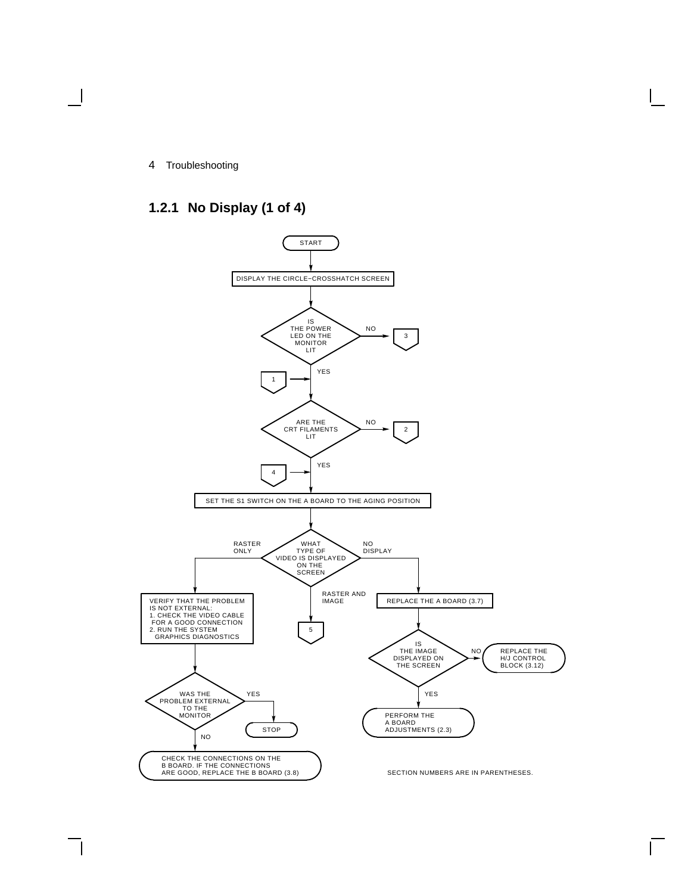## **1.2.1 No Display (1 of 4)**

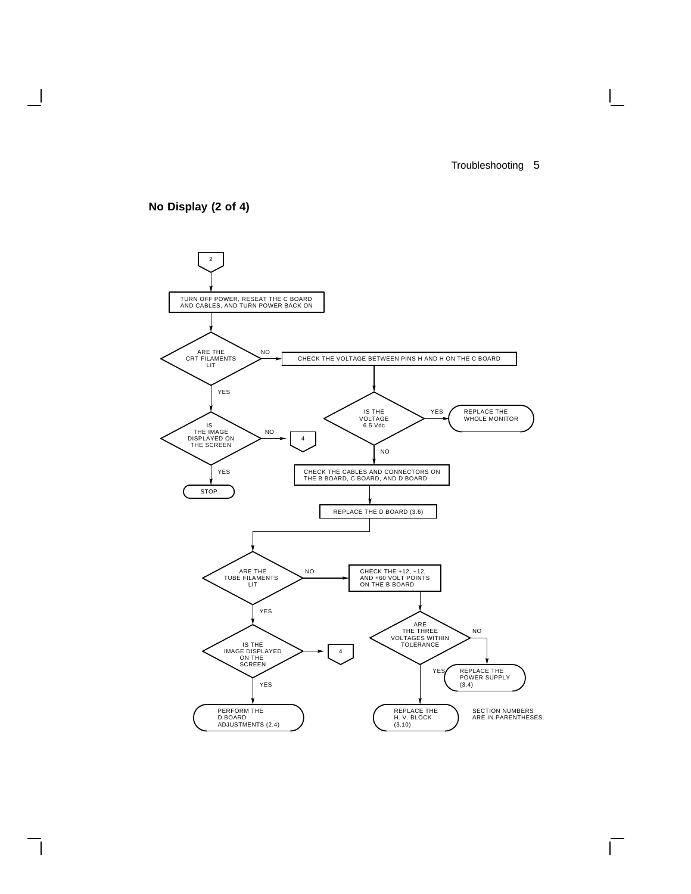

**No Display (2 of 4)**

 $\overline{\phantom{a}}$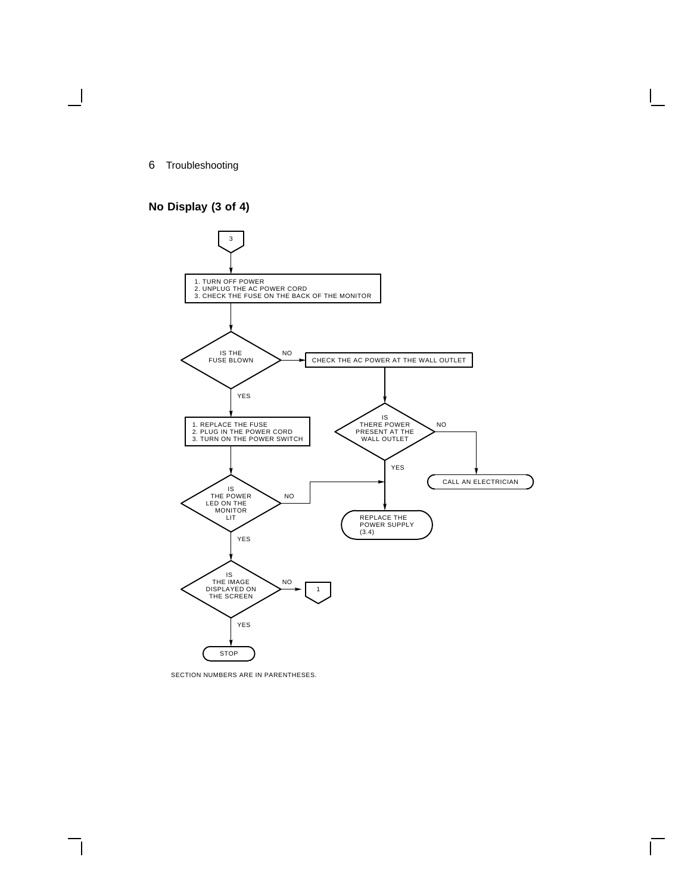### **No Display (3 of 4)**



SECTION NUMBERS ARE IN PARENTHESES.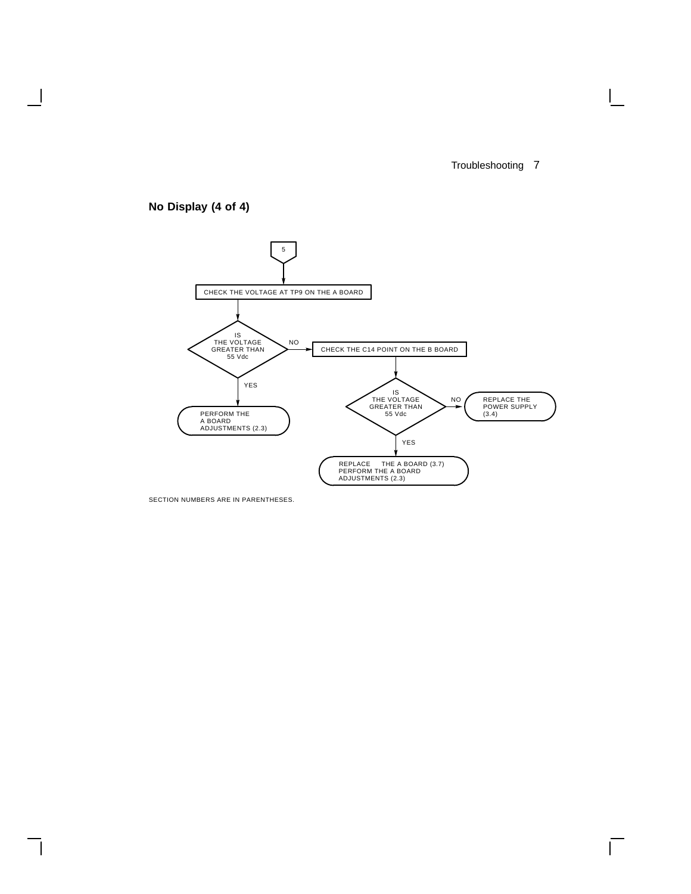$\Box$ 

## **No Display (4 of 4)**

 $\overline{\phantom{a}}$ 



SECTION NUMBERS ARE IN PARENTHESES.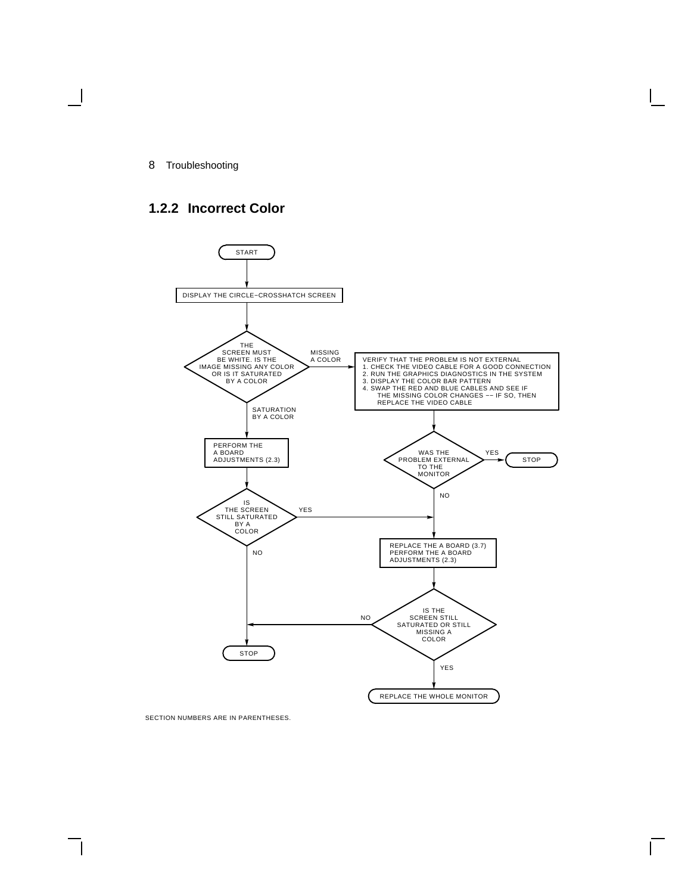## **1.2.2 Incorrect Color**



SECTION NUMBERS ARE IN PARENTHESES.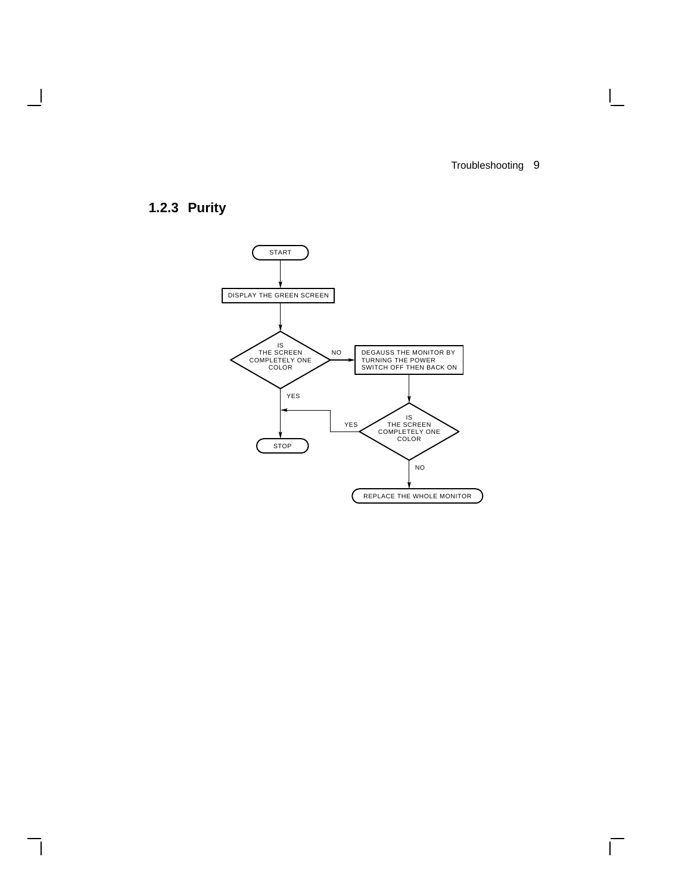$\Box$ 

 $\Gamma$ 

## **1.2.3 Purity**

 $\overline{\phantom{a}}$ 

 $\overline{\phantom{a}}$ 

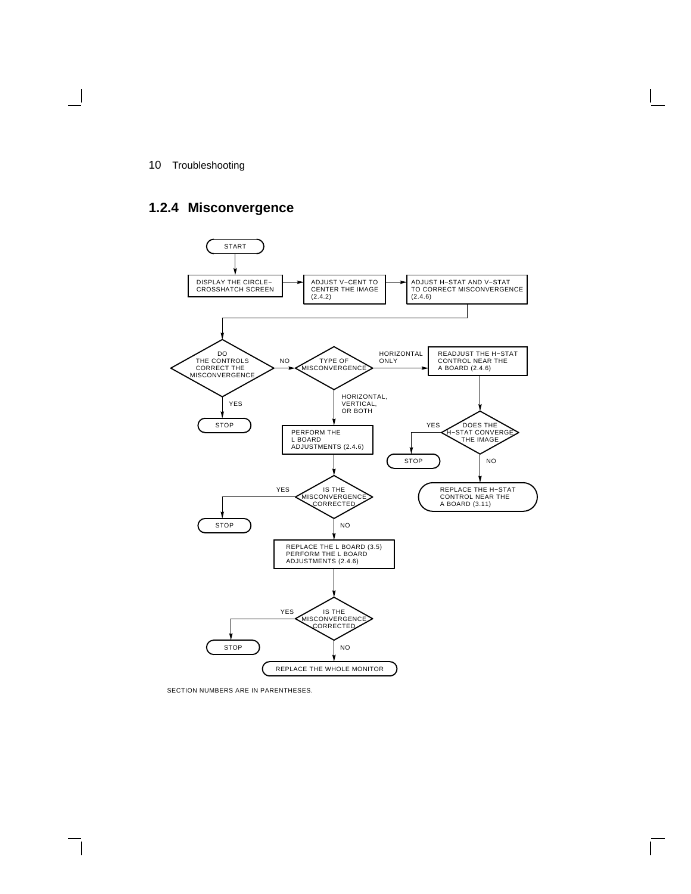## **1.2.4 Misconvergence**



SECTION NUMBERS ARE IN PARENTHESES.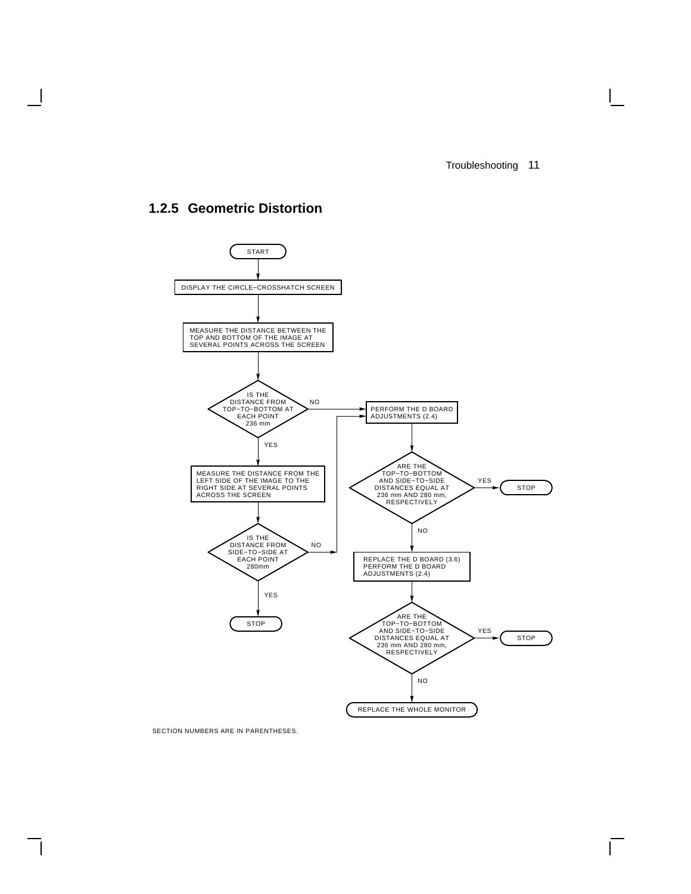## **1.2.5 Geometric Distortion**

 $\mathbf l$ 



SECTION NUMBERS ARE IN PARENTHESES.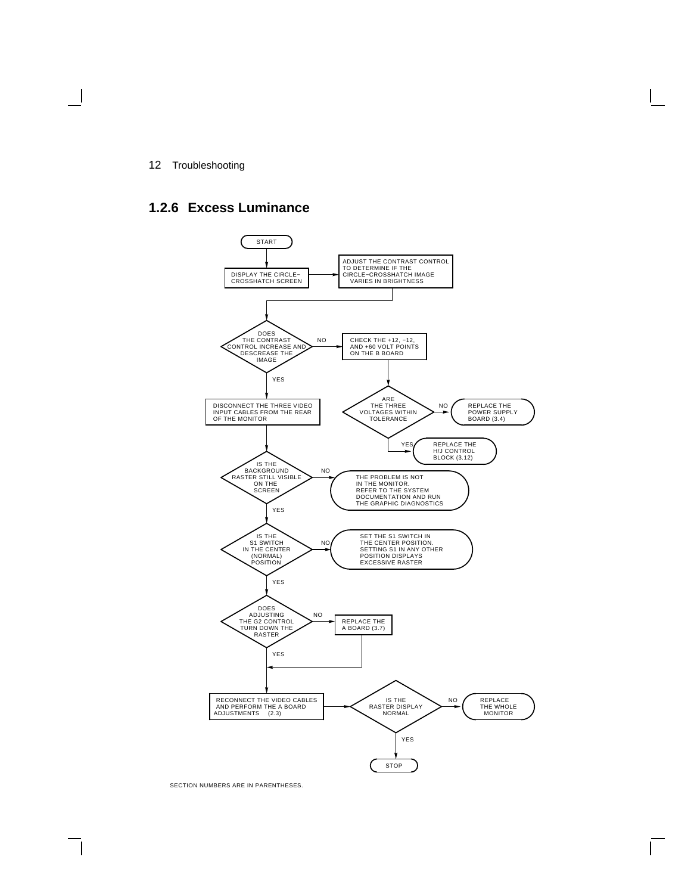### **1.2.6 Excess Luminance**



SECTION NUMBERS ARE IN PARENTHESES.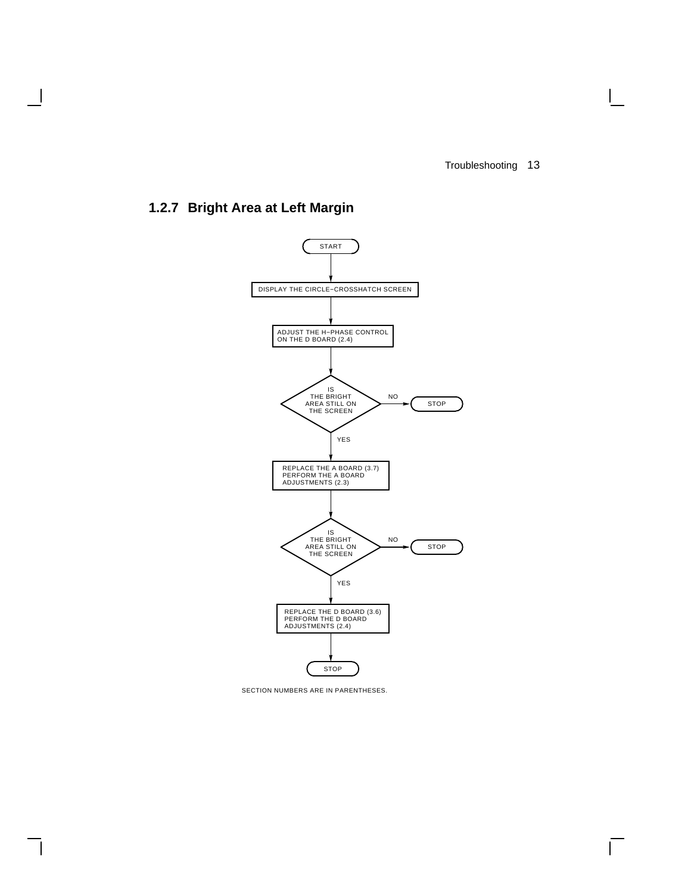$\overline{\Gamma}$ 

## **1.2.7 Bright Area at Left Margin**

 $\mathbf{I}$ 



SECTION NUMBERS ARE IN PARENTHESES.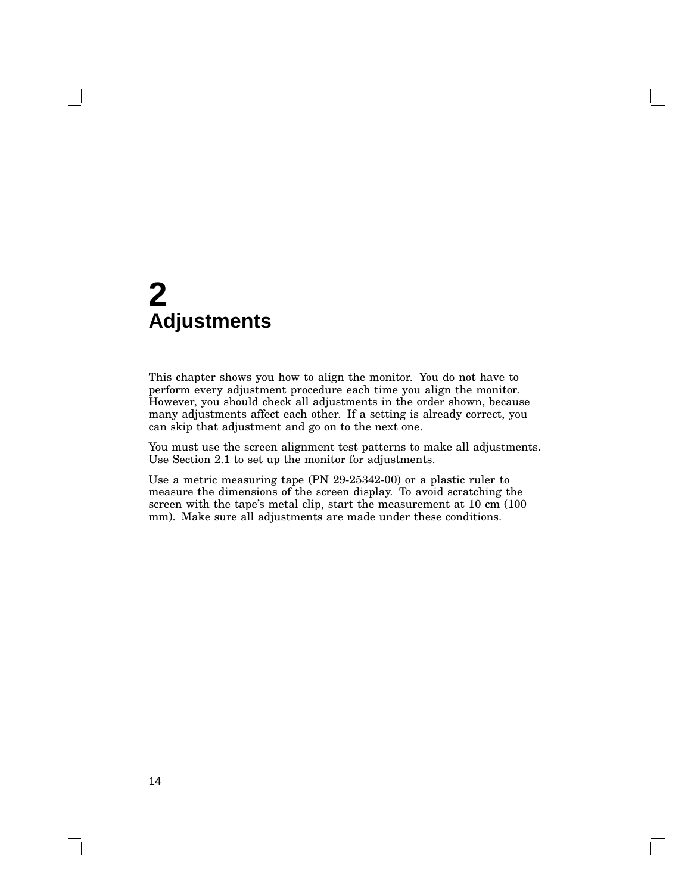This chapter shows you how to align the monitor. You do not have to perform every adjustment procedure each time you align the monitor. However, you should check all adjustments in the order shown, because many adjustments affect each other. If a setting is already correct, you can skip that adjustment and go on to the next one.

You must use the screen alignment test patterns to make all adjustments. Use Section 2.1 to set up the monitor for adjustments.

Use a metric measuring tape (PN 29-25342-00) or a plastic ruler to measure the dimensions of the screen display. To avoid scratching the screen with the tape's metal clip, start the measurement at 10 cm (100 mm). Make sure all adjustments are made under these conditions.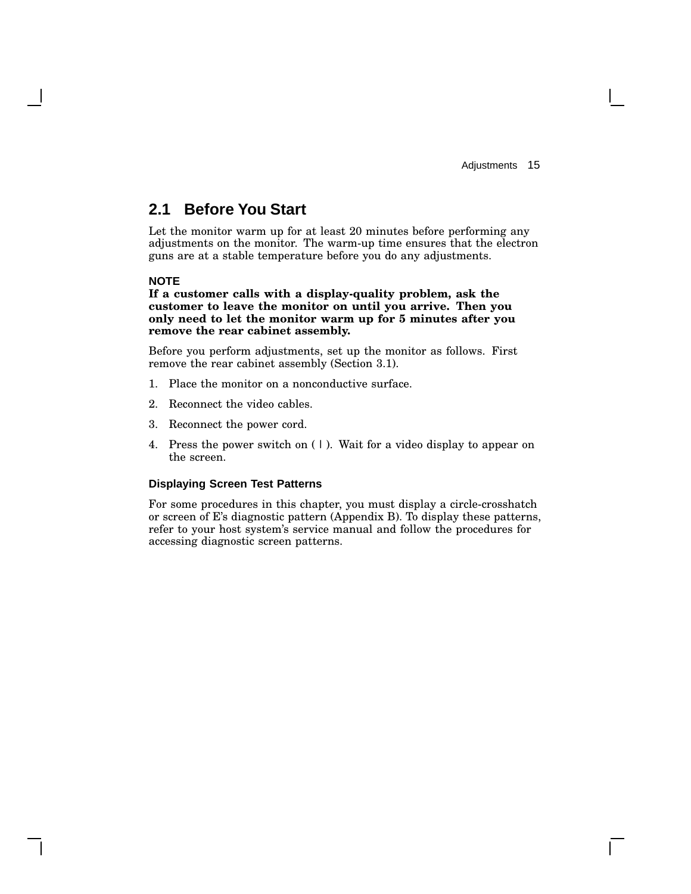## **2.1 Before You Start**

Let the monitor warm up for at least 20 minutes before performing any adjustments on the monitor. The warm-up time ensures that the electron guns are at a stable temperature before you do any adjustments.

### **NOTE**

#### **If a customer calls with a display-quality problem, ask the customer to leave the monitor on until you arrive. Then you only need to let the monitor warm up for 5 minutes after you remove the rear cabinet assembly.**

Before you perform adjustments, set up the monitor as follows. First remove the rear cabinet assembly (Section 3.1).

- 1. Place the monitor on a nonconductive surface.
- 2. Reconnect the video cables.
- 3. Reconnect the power cord.
- 4. Press the power switch on  $( )$ . Wait for a video display to appear on the screen.

### **Displaying Screen Test Patterns**

For some procedures in this chapter, you must display a circle-crosshatch or screen of E's diagnostic pattern (Appendix B). To display these patterns, refer to your host system's service manual and follow the procedures for accessing diagnostic screen patterns.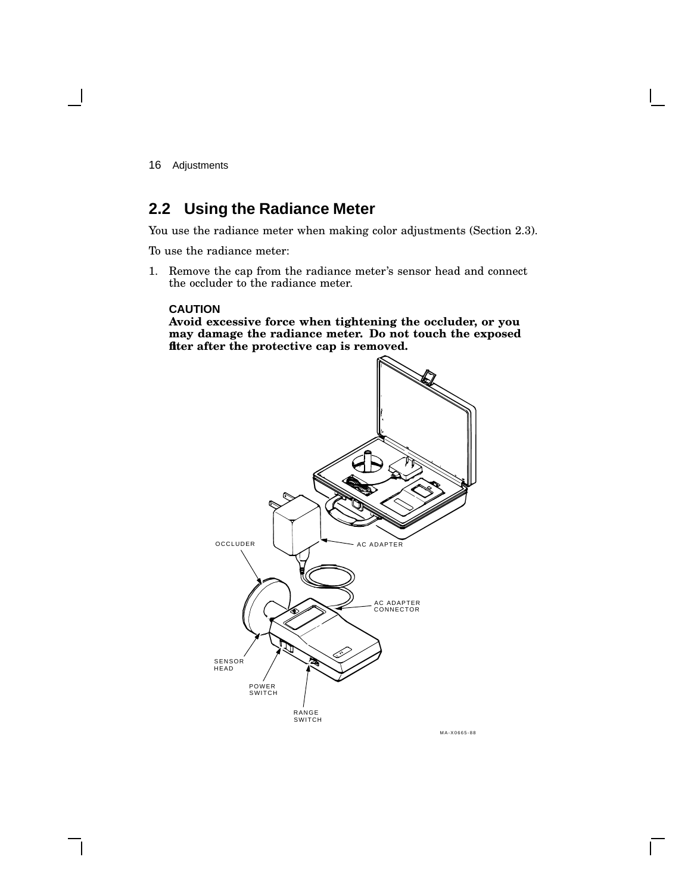## **2.2 Using the Radiance Meter**

You use the radiance meter when making color adjustments (Section 2.3).

To use the radiance meter:

1. Remove the cap from the radiance meter's sensor head and connect the occluder to the radiance meter.

#### **CAUTION**

**Avoid excessive force when tightening the occluder, or you may damage the radiance meter. Do not touch the exposed filter after the protective cap is removed.**



MA-X0665-88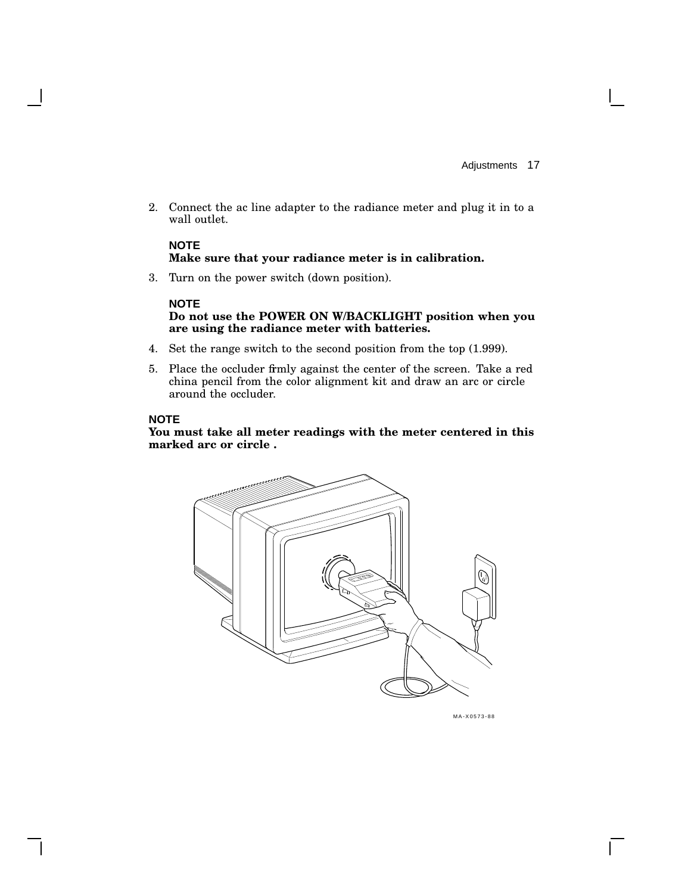2. Connect the ac line adapter to the radiance meter and plug it in to a wall outlet.

### **NOTE Make sure that your radiance meter is in calibration.**

3. Turn on the power switch (down position).

### **NOTE**

**Do not use the POWER ON W/BACKLIGHT position when you are using the radiance meter with batteries.**

- 4. Set the range switch to the second position from the top (1.999).
- 5. Place the occluder firmly against the center of the screen. Take a red china pencil from the color alignment kit and draw an arc or circle around the occluder.

### **NOTE**

**You must take all meter readings with the meter centered in this marked arc or circle .**



MA-X0573-88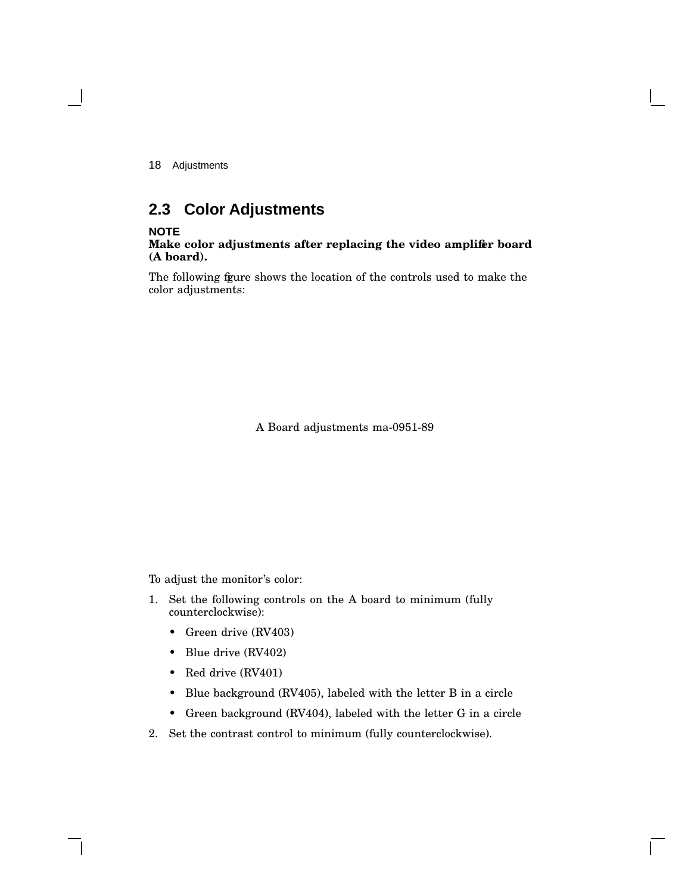## **2.3 Color Adjustments**

### **NOTE**

#### **Make color adjustments after replacing the video amplifier board (A board).**

The following figure shows the location of the controls used to make the color adjustments:

A Board adjustments ma-0951-89

To adjust the monitor's color:

- 1. Set the following controls on the A board to minimum (fully counterclockwise):
	- Green drive (RV403)
	- Blue drive (RV402)
	- Red drive (RV401)
	- Blue background (RV405), labeled with the letter B in a circle
	- Green background (RV404), labeled with the letter G in a circle
- 2. Set the contrast control to minimum (fully counterclockwise).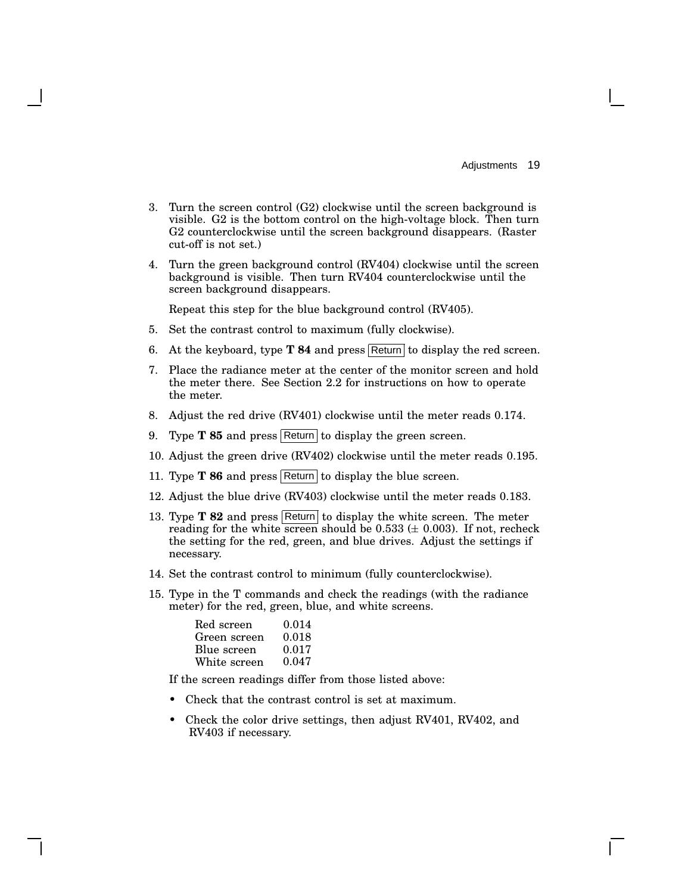- 3. Turn the screen control (G2) clockwise until the screen background is visible. G2 is the bottom control on the high-voltage block. Then turn G2 counterclockwise until the screen background disappears. (Raster cut-off is not set.)
- 4. Turn the green background control (RV404) clockwise until the screen background is visible. Then turn RV404 counterclockwise until the screen background disappears.

Repeat this step for the blue background control (RV405).

- 5. Set the contrast control to maximum (fully clockwise).
- 6. At the keyboard, type **T 84** and press Return to display the red screen.
- 7. Place the radiance meter at the center of the monitor screen and hold the meter there. See Section 2.2 for instructions on how to operate the meter.
- 8. Adjust the red drive (RV401) clockwise until the meter reads 0.174.
- 9. Type **T 85** and press Return to display the green screen.
- 10. Adjust the green drive (RV402) clockwise until the meter reads 0.195.
- 11. Type **T 86** and press Return to display the blue screen.
- 12. Adjust the blue drive (RV403) clockwise until the meter reads 0.183.
- 13. Type **T 82** and press Return to display the white screen. The meter reading for the white screen should be 0.533 ( $\pm$  0.003). If not, recheck the setting for the red, green, and blue drives. Adjust the settings if necessary.
- 14. Set the contrast control to minimum (fully counterclockwise).
- 15. Type in the T commands and check the readings (with the radiance meter) for the red, green, blue, and white screens.

| Red screen   | 0.014 |
|--------------|-------|
| Green screen | 0.018 |
| Blue screen  | 0.017 |
| White screen | 0.047 |

If the screen readings differ from those listed above:

- Check that the contrast control is set at maximum.
- Check the color drive settings, then adjust RV401, RV402, and RV403 if necessary.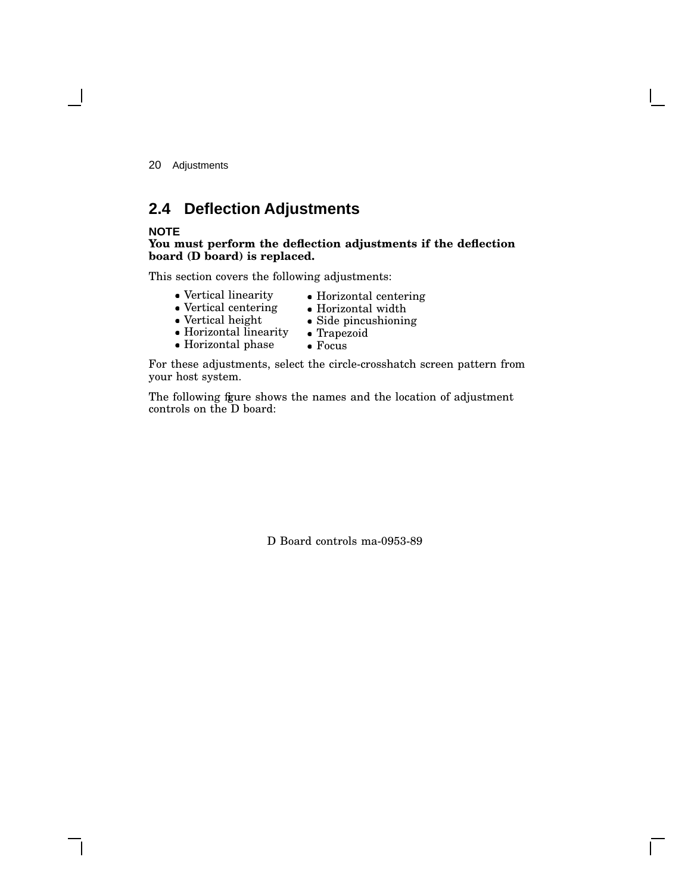## **2.4 Deflection Adjustments**

### **NOTE**

#### **You must perform the deflection adjustments if the deflection board (D board) is replaced.**

This section covers the following adjustments:

- Vertical linearity
- Horizontal centering Horizontal width
- Vertical centering Vertical height
- Side pincushioning
- Horizontal linearity
	- Trapezoid Focus
- Horizontal phase

For these adjustments, select the circle-crosshatch screen pattern from your host system.

The following fgure shows the names and the location of adjustment controls on the D board:

D Board controls ma-0953-89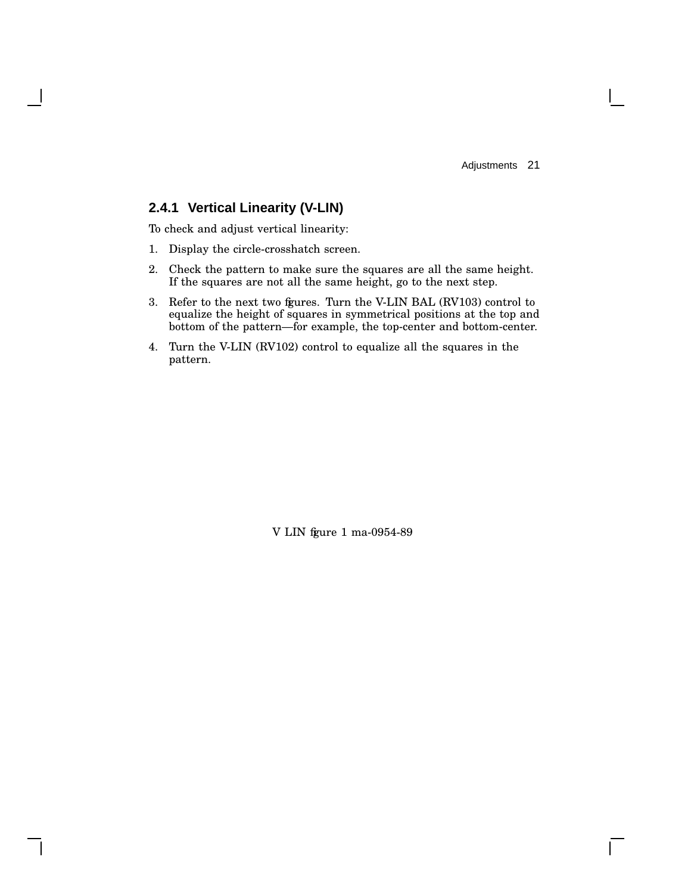$\mathbf{L}$ 

## **2.4.1 Vertical Linearity (V-LIN)**

To check and adjust vertical linearity:

- 1. Display the circle-crosshatch screen.
- 2. Check the pattern to make sure the squares are all the same height. If the squares are not all the same height, go to the next step.
- 3. Refer to the next two figures. Turn the V-LIN BAL (RV103) control to equalize the height of squares in symmetrical positions at the top and bottom of the pattern—for example, the top-center and bottom-center.
- 4. Turn the V-LIN (RV102) control to equalize all the squares in the pattern.

V LIN fgure 1 ma-0954-89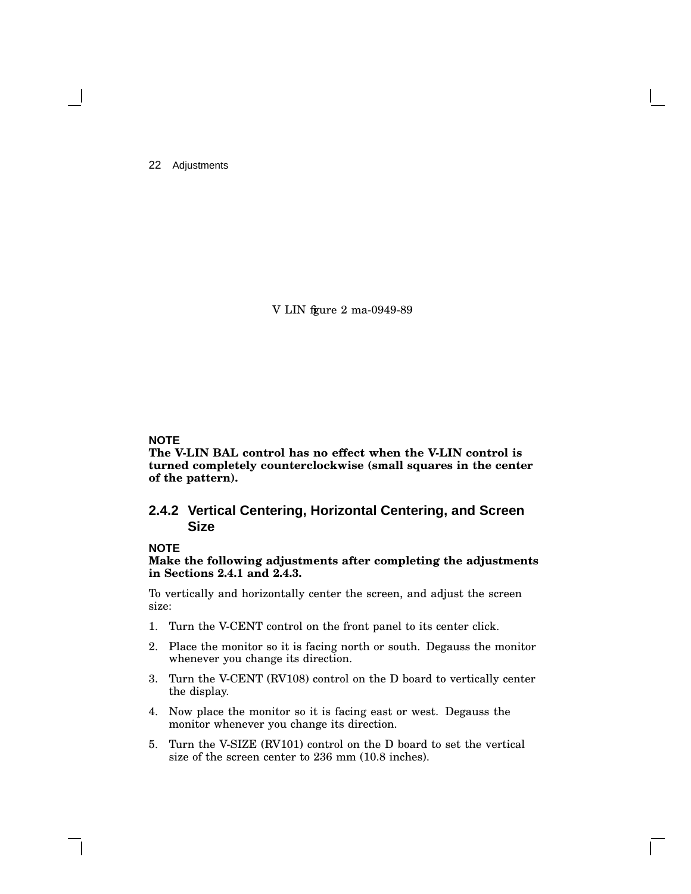V LIN fgure 2 ma-0949-89

### **NOTE**

**The V-LIN BAL control has no effect when the V-LIN control is turned completely counterclockwise (small squares in the center of the pattern).**

### **2.4.2 Vertical Centering, Horizontal Centering, and Screen Size**

### **NOTE**

**Make the following adjustments after completing the adjustments in Sections 2.4.1 and 2.4.3.**

To vertically and horizontally center the screen, and adjust the screen size:

- 1. Turn the V-CENT control on the front panel to its center click.
- 2. Place the monitor so it is facing north or south. Degauss the monitor whenever you change its direction.
- 3. Turn the V-CENT (RV108) control on the D board to vertically center the display.
- 4. Now place the monitor so it is facing east or west. Degauss the monitor whenever you change its direction.
- 5. Turn the V-SIZE (RV101) control on the D board to set the vertical size of the screen center to 236 mm (10.8 inches).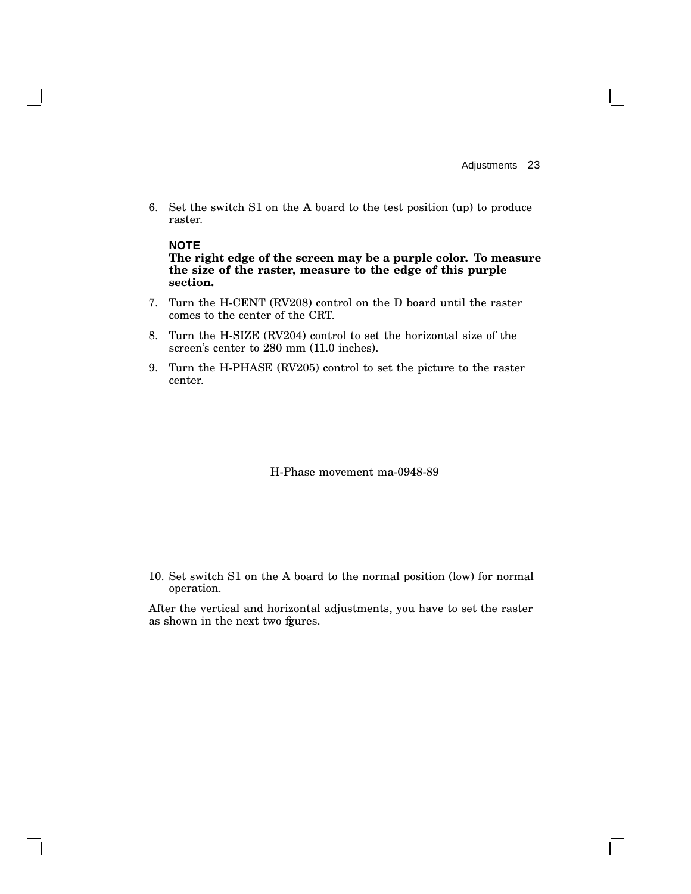6. Set the switch S1 on the A board to the test position (up) to produce raster.

#### **NOTE**

**The right edge of the screen may be a purple color. To measure the size of the raster, measure to the edge of this purple section.**

- 7. Turn the H-CENT (RV208) control on the D board until the raster comes to the center of the CRT.
- 8. Turn the H-SIZE (RV204) control to set the horizontal size of the screen's center to 280 mm (11.0 inches).
- 9. Turn the H-PHASE (RV205) control to set the picture to the raster center.

H-Phase movement ma-0948-89

10. Set switch S1 on the A board to the normal position (low) for normal operation.

After the vertical and horizontal adjustments, you have to set the raster as shown in the next two fgures.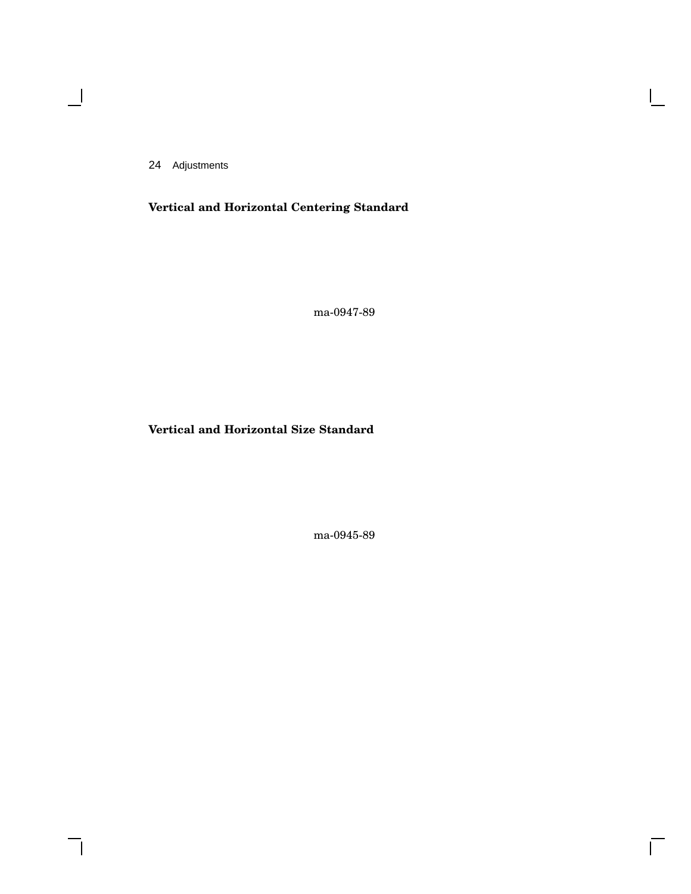$\blacksquare$ 

**Vertical and Horizontal Centering Standard**

ma-0947-89

 $\mathsf{I}$ 

 $\bar{\Gamma}$ 

## **Vertical and Horizontal Size Standard**

ma-0945-89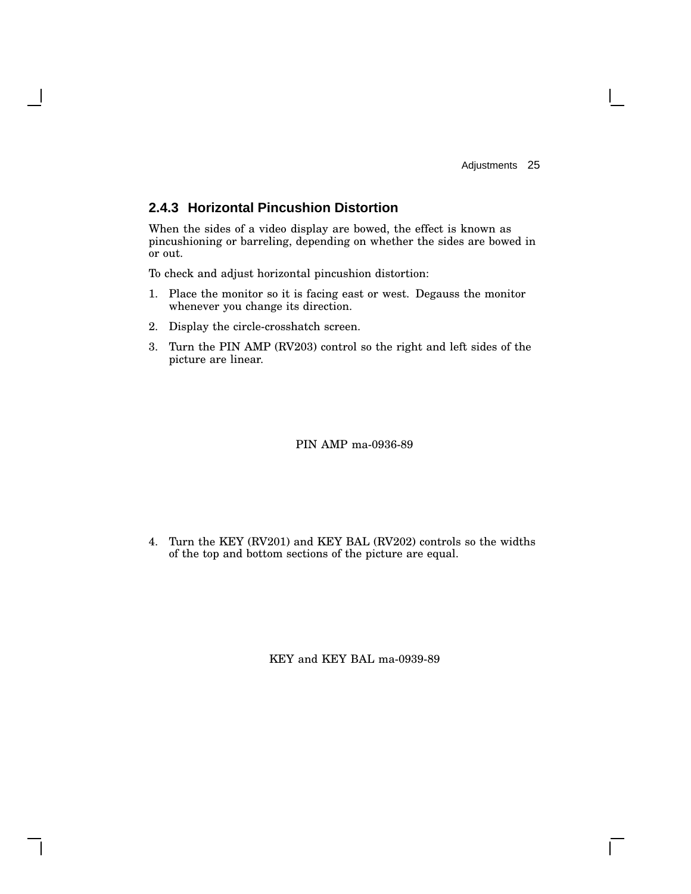## **2.4.3 Horizontal Pincushion Distortion**

When the sides of a video display are bowed, the effect is known as pincushioning or barreling, depending on whether the sides are bowed in or out.

To check and adjust horizontal pincushion distortion:

- 1. Place the monitor so it is facing east or west. Degauss the monitor whenever you change its direction.
- 2. Display the circle-crosshatch screen.
- 3. Turn the PIN AMP (RV203) control so the right and left sides of the picture are linear.

PIN AMP ma-0936-89

4. Turn the KEY (RV201) and KEY BAL (RV202) controls so the widths of the top and bottom sections of the picture are equal.

KEY and KEY BAL ma-0939-89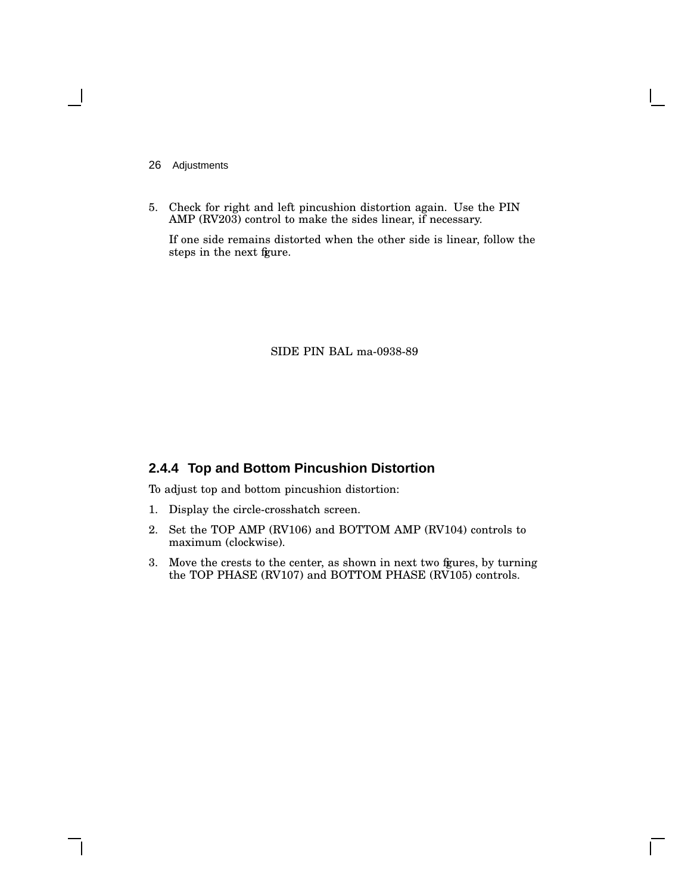5. Check for right and left pincushion distortion again. Use the PIN AMP (RV203) control to make the sides linear, if necessary.

If one side remains distorted when the other side is linear, follow the steps in the next figure.

SIDE PIN BAL ma-0938-89

## **2.4.4 Top and Bottom Pincushion Distortion**

To adjust top and bottom pincushion distortion:

- 1. Display the circle-crosshatch screen.
- 2. Set the TOP AMP (RV106) and BOTTOM AMP (RV104) controls to maximum (clockwise).
- 3. Move the crests to the center, as shown in next two figures, by turning the TOP PHASE (RV107) and BOTTOM PHASE (RV105) controls.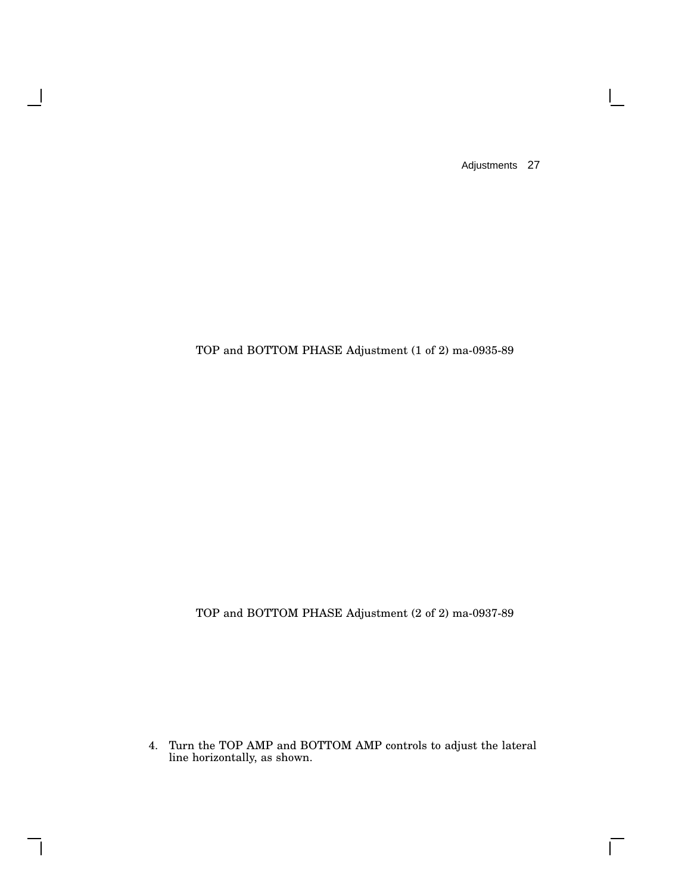$\mathbf{I}$ 

 $\overline{\Gamma}$ 

## TOP and BOTTOM PHASE Adjustment (1 of 2) ma-0935-89

 $\overline{\phantom{a}}$ 

 $\mathsf{l}$ 

TOP and BOTTOM PHASE Adjustment (2 of 2) ma-0937-89

4. Turn the TOP AMP and BOTTOM AMP controls to adjust the lateral line horizontally, as shown.